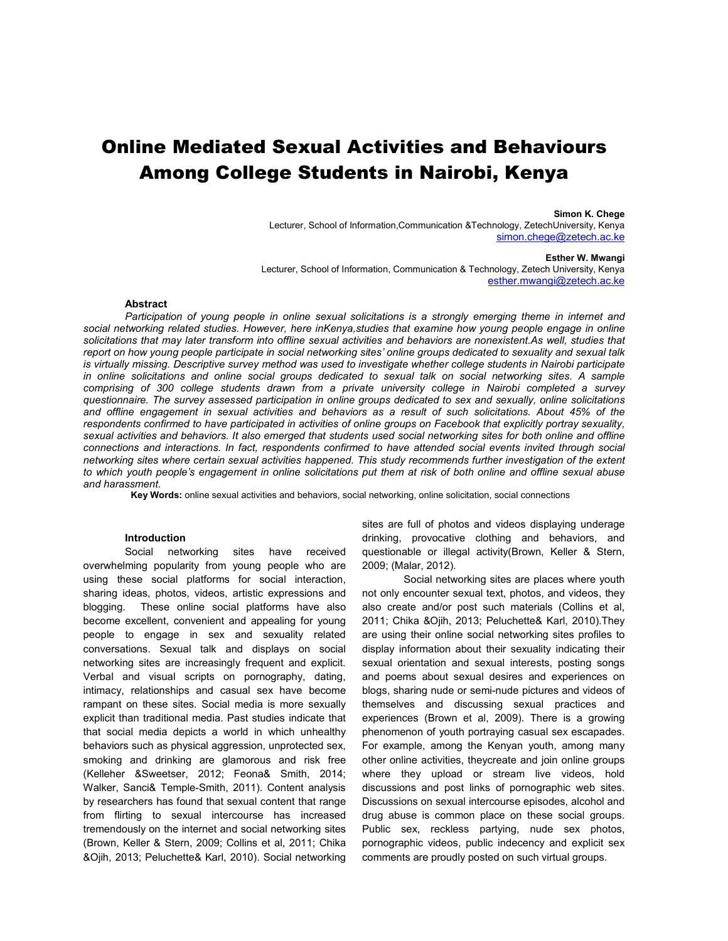# Online Mediated Sexual Activities and Behaviours Among College Students in Nairobi, Kenya

#### **Simon K. Chege**

Lecturer, School of Information,Communication &Technology, ZetechUniversity, Kenya simon.chege@zetech.ac.ke

#### **Esther W. Mwangi**

Lecturer, School of Information, Communication & Technology, Zetech University, Kenya esther.mwangi@zetech.ac.ke

#### **Abstract**

*Participation of young people in online sexual solicitations is a strongly emerging theme in internet and*  social networking related studies. However, here inKenya, studies that examine how young people engage in online *solicitations that may later transform into offline sexual activities and behaviors are nonexistent.As well, studies that report on how young people participate in social networking sites' online groups dedicated to sexuality and sexual talk is virtually missing. Descriptive survey method was used to investigate whether college students in Nairobi participate in online solicitations and online social groups dedicated to sexual talk on social networking sites. A sample comprising of 300 college students drawn from a private university college in Nairobi completed a survey questionnaire. The survey assessed participation in online groups dedicated to sex and sexually, online solicitations and offline engagement in sexual activities and behaviors as a result of such solicitations. About 45% of the respondents confirmed to have participated in activities of online groups on Facebook that explicitly portray sexuality, sexual activities and behaviors. It also emerged that students used social networking sites for both online and offline connections and interactions. In fact, respondents confirmed to have attended social events invited through social networking sites where certain sexual activities happened. This study recommends further investigation of the extent to which youth people's engagement in online solicitations put them at risk of both online and offline sexual abuse and harassment.*

**Key Words:** online sexual activities and behaviors, social networking, online solicitation, social connections

#### **Introduction**

Social networking sites have received overwhelming popularity from young people who are using these social platforms for social interaction, sharing ideas, photos, videos, artistic expressions and blogging. These online social platforms have also become excellent, convenient and appealing for young people to engage in sex and sexuality related conversations. Sexual talk and displays on social networking sites are increasingly frequent and explicit. Verbal and visual scripts on pornography, dating, intimacy, relationships and casual sex have become rampant on these sites. Social media is more sexually explicit than traditional media. Past studies indicate that that social media depicts a world in which unhealthy behaviors such as physical aggression, unprotected sex, smoking and drinking are glamorous and risk free (Kelleher &Sweetser, 2012; Feona& Smith, 2014; Walker, Sanci& Temple-Smith, 2011). Content analysis by researchers has found that sexual content that range from flirting to sexual intercourse has increased tremendously on the internet and social networking sites (Brown, Keller & Stern, 2009; Collins et al, 2011; Chika &Ojih, 2013; Peluchette& Karl, 2010). Social networking sites are full of photos and videos displaying underage drinking, provocative clothing and behaviors, and questionable or illegal activity(Brown, Keller & Stern, 2009; (Malar, 2012).

Social networking sites are places where youth not only encounter sexual text, photos, and videos, they also create and/or post such materials (Collins et al, 2011; Chika &Ojih, 2013; Peluchette& Karl, 2010).They are using their online social networking sites profiles to display information about their sexuality indicating their sexual orientation and sexual interests, posting songs and poems about sexual desires and experiences on blogs, sharing nude or semi-nude pictures and videos of themselves and discussing sexual practices and experiences (Brown et al, 2009). There is a growing phenomenon of youth portraying casual sex escapades. For example, among the Kenyan youth, among many other online activities, theycreate and join online groups where they upload or stream live videos, hold discussions and post links of pornographic web sites. Discussions on sexual intercourse episodes, alcohol and drug abuse is common place on these social groups. Public sex, reckless partying, nude sex photos, pornographic videos, public indecency and explicit sex comments are proudly posted on such virtual groups.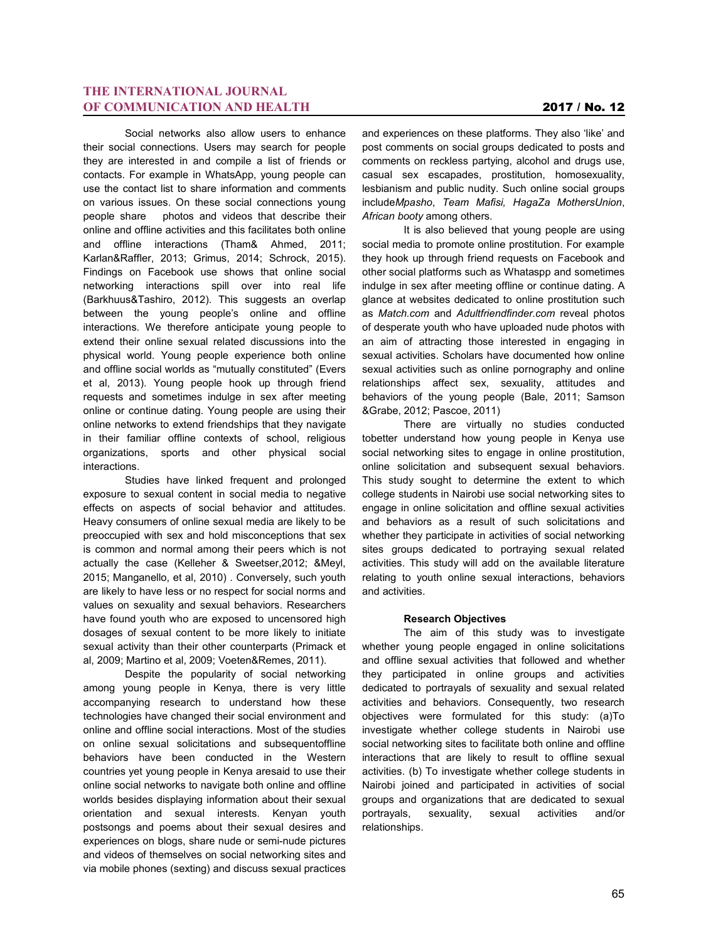Social networks also allow users to enhance their social connections. Users may search for people they are interested in and compile a list of friends or contacts. For example in WhatsApp, young people can use the contact list to share information and comments on various issues. On these social connections young people share photos and videos that describe their online and offline activities and this facilitates both online and offline interactions (Tham& Ahmed, 2011; Karlan&Raffler, 2013; Grimus, 2014; Schrock, 2015). Findings on Facebook use shows that online social networking interactions spill over into real life (Barkhuus&Tashiro, 2012). This suggests an overlap between the young people's online and offline interactions. We therefore anticipate young people to extend their online sexual related discussions into the physical world. Young people experience both online and offline social worlds as "mutually constituted" (Evers et al, 2013). Young people hook up through friend requests and sometimes indulge in sex after meeting online or continue dating. Young people are using their online networks to extend friendships that they navigate in their familiar offline contexts of school, religious organizations, sports and other physical social interactions.

Studies have linked frequent and prolonged exposure to sexual content in social media to negative effects on aspects of social behavior and attitudes. Heavy consumers of online sexual media are likely to be preoccupied with sex and hold misconceptions that sex is common and normal among their peers which is not actually the case (Kelleher & Sweetser,2012; &Meyl, 2015; Manganello, et al, 2010) . Conversely, such youth are likely to have less or no respect for social norms and values on sexuality and sexual behaviors. Researchers have found youth who are exposed to uncensored high dosages of sexual content to be more likely to initiate sexual activity than their other counterparts (Primack et al, 2009; Martino et al, 2009; Voeten&Remes, 2011).

Despite the popularity of social networking among young people in Kenya, there is very little accompanying research to understand how these technologies have changed their social environment and online and offline social interactions. Most of the studies on online sexual solicitations and subsequentoffline behaviors have been conducted in the Western countries yet young people in Kenya aresaid to use their online social networks to navigate both online and offline worlds besides displaying information about their sexual orientation and sexual interests. Kenyan youth postsongs and poems about their sexual desires and experiences on blogs, share nude or semi-nude pictures and videos of themselves on social networking sites and via mobile phones (sexting) and discuss sexual practices

and experiences on these platforms. They also 'like' and post comments on social groups dedicated to posts and comments on reckless partying, alcohol and drugs use, casual sex escapades, prostitution, homosexuality, lesbianism and public nudity. Such online social groups include*Mpasho*, *Team Mafisi, HagaZa MothersUnion*, *African booty* among others.

It is also believed that young people are using social media to promote online prostitution. For example they hook up through friend requests on Facebook and other social platforms such as Whataspp and sometimes indulge in sex after meeting offline or continue dating. A glance at websites dedicated to online prostitution such as *Match.com* and *Adultfriendfinder.com* reveal photos of desperate youth who have uploaded nude photos with an aim of attracting those interested in engaging in sexual activities. Scholars have documented how online sexual activities such as online pornography and online relationships affect sex, sexuality, attitudes and behaviors of the young people (Bale, 2011; Samson &Grabe, 2012; Pascoe, 2011)

There are virtually no studies conducted tobetter understand how young people in Kenya use social networking sites to engage in online prostitution, online solicitation and subsequent sexual behaviors. This study sought to determine the extent to which college students in Nairobi use social networking sites to engage in online solicitation and offline sexual activities and behaviors as a result of such solicitations and whether they participate in activities of social networking sites groups dedicated to portraying sexual related activities. This study will add on the available literature relating to youth online sexual interactions, behaviors and activities.

#### **Research Objectives**

The aim of this study was to investigate whether young people engaged in online solicitations and offline sexual activities that followed and whether they participated in online groups and activities dedicated to portrayals of sexuality and sexual related activities and behaviors. Consequently, two research objectives were formulated for this study: (a)To investigate whether college students in Nairobi use social networking sites to facilitate both online and offline interactions that are likely to result to offline sexual activities. (b) To investigate whether college students in Nairobi joined and participated in activities of social groups and organizations that are dedicated to sexual portrayals, sexuality, sexual activities and/or relationships.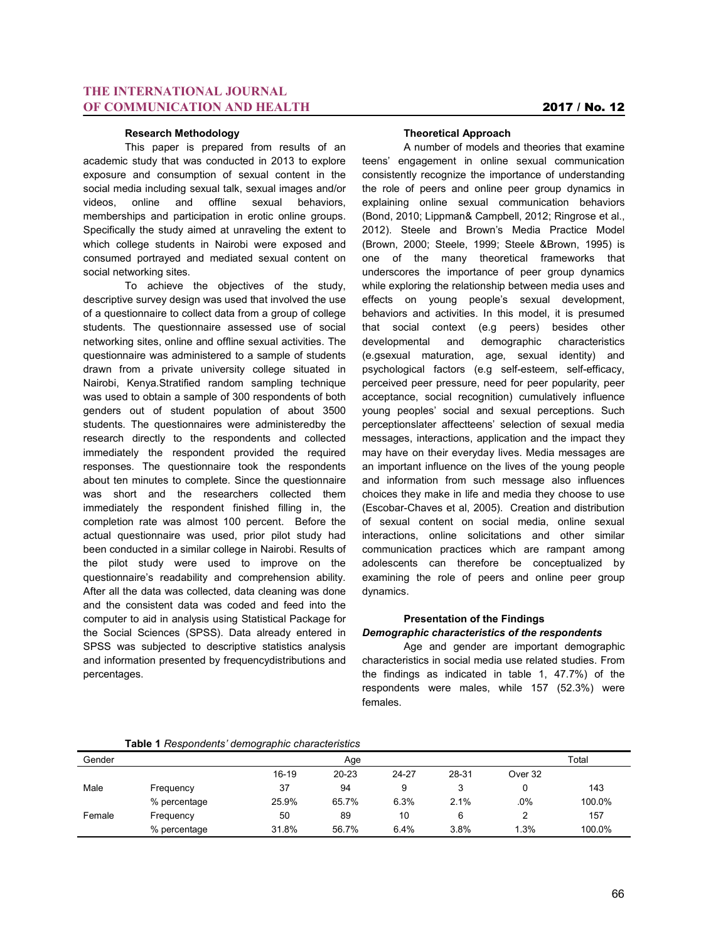#### **Research Methodology**

This paper is prepared from results of an academic study that was conducted in 2013 to explore exposure and consumption of sexual content in the social media including sexual talk, sexual images and/or videos, online and offline sexual behaviors, memberships and participation in erotic online groups. Specifically the study aimed at unraveling the extent to which college students in Nairobi were exposed and consumed portrayed and mediated sexual content on social networking sites.

To achieve the objectives of the study, descriptive survey design was used that involved the use of a questionnaire to collect data from a group of college students. The questionnaire assessed use of social networking sites, online and offline sexual activities. The questionnaire was administered to a sample of students drawn from a private university college situated in Nairobi, Kenya.Stratified random sampling technique was used to obtain a sample of 300 respondents of both genders out of student population of about 3500 students. The questionnaires were administeredby the research directly to the respondents and collected immediately the respondent provided the required responses. The questionnaire took the respondents about ten minutes to complete. Since the questionnaire was short and the researchers collected them immediately the respondent finished filling in, the completion rate was almost 100 percent. Before the actual questionnaire was used, prior pilot study had been conducted in a similar college in Nairobi. Results of the pilot study were used to improve on the questionnaire's readability and comprehension ability. After all the data was collected, data cleaning was done and the consistent data was coded and feed into the computer to aid in analysis using Statistical Package for the Social Sciences (SPSS). Data already entered in SPSS was subjected to descriptive statistics analysis and information presented by frequencydistributions and percentages.

#### **Theoretical Approach**

A number of models and theories that examine teens' engagement in online sexual communication consistently recognize the importance of understanding the role of peers and online peer group dynamics in explaining online sexual communication behaviors (Bond, 2010; Lippman& Campbell, 2012; Ringrose et al., 2012). Steele and Brown's Media Practice Model (Brown, 2000; Steele, 1999; Steele &Brown, 1995) is one of the many theoretical frameworks that underscores the importance of peer group dynamics while exploring the relationship between media uses and effects on young people's sexual development, behaviors and activities. In this model, it is presumed that social context (e.g peers) besides other developmental and demographic characteristics (e.gsexual maturation, age, sexual identity) and psychological factors (e.g self-esteem, self-efficacy, perceived peer pressure, need for peer popularity, peer acceptance, social recognition) cumulatively influence young peoples' social and sexual perceptions. Such perceptionslater affectteens' selection of sexual media messages, interactions, application and the impact they may have on their everyday lives. Media messages are an important influence on the lives of the young people and information from such message also influences choices they make in life and media they choose to use (Escobar-Chaves et al, 2005). Creation and distribution of sexual content on social media, online sexual interactions, online solicitations and other similar communication practices which are rampant among adolescents can therefore be conceptualized by examining the role of peers and online peer group dynamics.

## **Presentation of the Findings** *Demographic characteristics of the respondents*

Age and gender are important demographic characteristics in social media use related studies. From the findings as indicated in table 1, 47.7%) of the respondents were males, while 157 (52.3%) were females.

|  |  | Table 1 Respondents' demographic characteristics |
|--|--|--------------------------------------------------|
|--|--|--------------------------------------------------|

|        | $\ldots$     |         |       |       |       |         |        |
|--------|--------------|---------|-------|-------|-------|---------|--------|
| Gender |              |         | Age   |       |       |         | Total  |
|        |              | $16-19$ | 20-23 | 24-27 | 28-31 | Over 32 |        |
| Male   | Frequency    | 37      | 94    | 9     |       |         | 143    |
|        | % percentage | 25.9%   | 65.7% | 6.3%  | 2.1%  | $.0\%$  | 100.0% |
| Female | Frequency    | 50      | 89    | 10    | 6     | 2       | 157    |
|        | % percentage | 31.8%   | 56.7% | 6.4%  | 3.8%  | 1.3%    | 100.0% |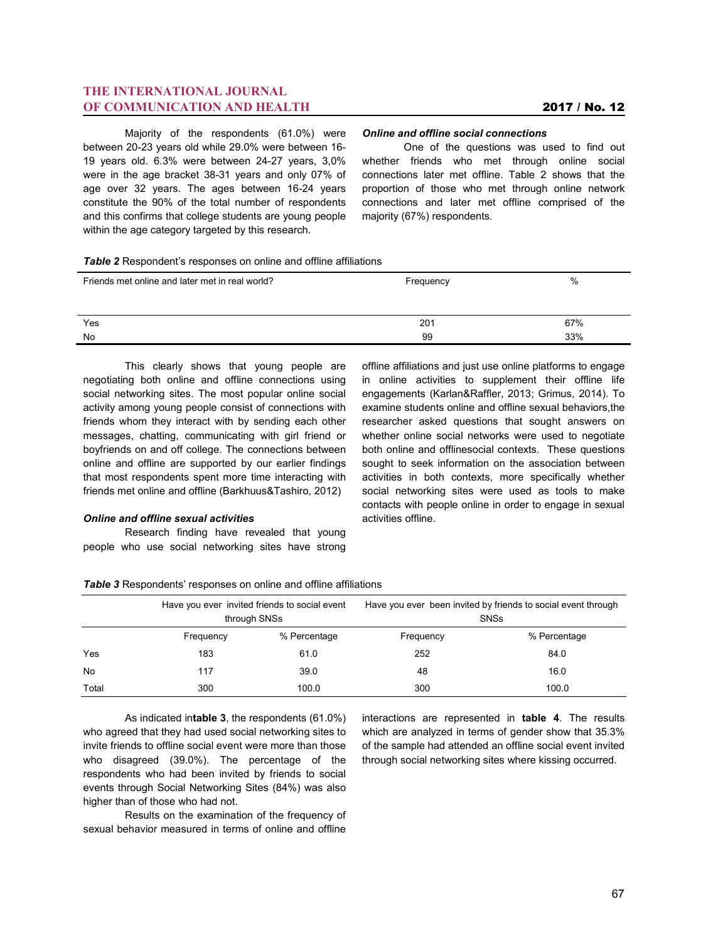Majority of the respondents (61.0%) were between 20-23 years old while 29.0% were between 16- 19 years old. 6.3% were between 24-27 years, 3,0% were in the age bracket 38-31 years and only 07% of age over 32 years. The ages between 16-24 years constitute the 90% of the total number of respondents and this confirms that college students are young people within the age category targeted by this research.

### *Online and offline social connections*

One of the questions was used to find out whether friends who met through online social connections later met offline. Table 2 shows that the proportion of those who met through online network connections and later met offline comprised of the majority (67%) respondents.

| Table 2 Respondent's responses on online and offline affiliations |  |  |  |
|-------------------------------------------------------------------|--|--|--|
|-------------------------------------------------------------------|--|--|--|

| Friends met online and later met in real world? | Frequency | %   |
|-------------------------------------------------|-----------|-----|
| Yes                                             | 201       | 67% |
| No                                              | 99        | 33% |

This clearly shows that young people are negotiating both online and offline connections using social networking sites. The most popular online social activity among young people consist of connections with friends whom they interact with by sending each other messages, chatting, communicating with girl friend or boyfriends on and off college. The connections between online and offline are supported by our earlier findings that most respondents spent more time interacting with friends met online and offline (Barkhuus&Tashiro, 2012)

#### *Online and offline sexual activities*

Research finding have revealed that young people who use social networking sites have strong

offline affiliations and just use online platforms to engage in online activities to supplement their offline life engagements (Karlan&Raffler, 2013; Grimus, 2014). To examine students online and offline sexual behaviors,the researcher asked questions that sought answers on whether online social networks were used to negotiate both online and offlinesocial contexts. These questions sought to seek information on the association between activities in both contexts, more specifically whether social networking sites were used as tools to make contacts with people online in order to engage in sexual activities offline.

| Table 3 Respondents' responses on online and offline affiliations |  |  |  |
|-------------------------------------------------------------------|--|--|--|
|-------------------------------------------------------------------|--|--|--|

|           |           | Have you ever invited friends to social event<br>through SNSs | Have you ever been invited by friends to social event through<br><b>SNSs</b> |              |  |
|-----------|-----------|---------------------------------------------------------------|------------------------------------------------------------------------------|--------------|--|
|           | Frequency | % Percentage                                                  | Frequency                                                                    | % Percentage |  |
| Yes       | 183       | 61.0                                                          | 252                                                                          | 84.0         |  |
| <b>No</b> | 117       | 39.0                                                          | 48                                                                           | 16.0         |  |
| Total     | 300       | 100.0                                                         | 300                                                                          | 100.0        |  |

As indicated in**table 3**, the respondents (61.0%) who agreed that they had used social networking sites to invite friends to offline social event were more than those who disagreed (39.0%). The percentage of the respondents who had been invited by friends to social events through Social Networking Sites (84%) was also higher than of those who had not.

Results on the examination of the frequency of sexual behavior measured in terms of online and offline

interactions are represented in **table 4**. The results which are analyzed in terms of gender show that 35.3% of the sample had attended an offline social event invited through social networking sites where kissing occurred.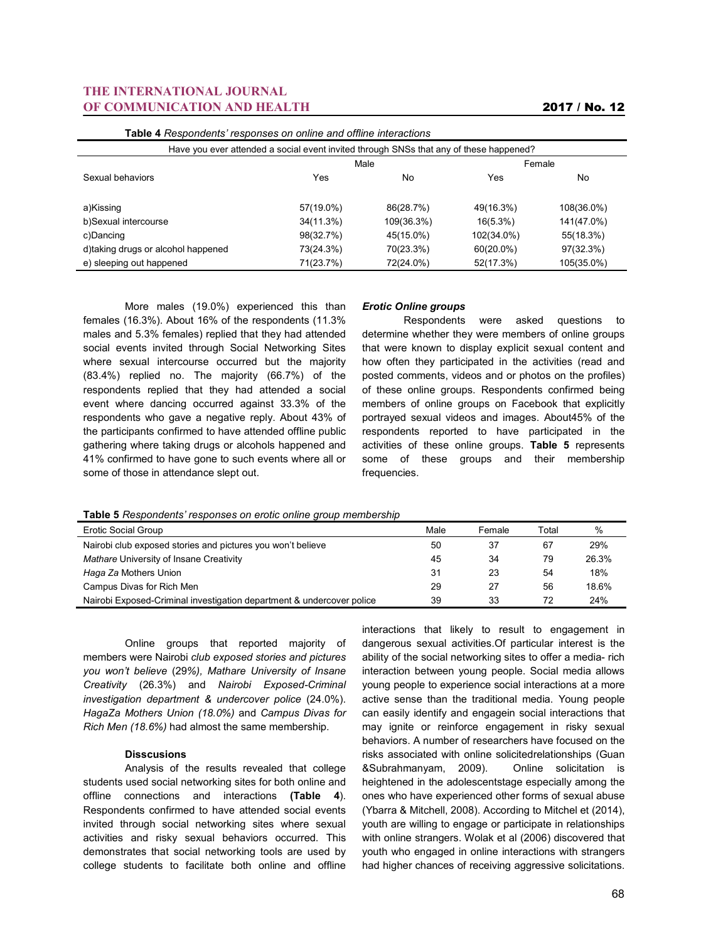| <b>Table 4</b> Respondents' responses on online and offline interactions               |           |            |              |            |  |  |
|----------------------------------------------------------------------------------------|-----------|------------|--------------|------------|--|--|
| Have you ever attended a social event invited through SNSs that any of these happened? |           |            |              |            |  |  |
|                                                                                        | Male      |            |              | Female     |  |  |
| Sexual behaviors                                                                       | Yes       | No         | Yes          | No         |  |  |
|                                                                                        |           |            |              |            |  |  |
| a)Kissing                                                                              | 57(19.0%) | 86(28.7%)  | 49(16.3%)    | 108(36.0%) |  |  |
| b)Sexual intercourse                                                                   | 34(11.3%) | 109(36.3%) | $16(5.3\%)$  | 141(47.0%) |  |  |
| c)Dancing                                                                              | 98(32.7%) | 45(15.0%)  | 102(34.0%)   | 55(18.3%)  |  |  |
| d)taking drugs or alcohol happened                                                     | 73(24.3%) | 70(23.3%)  | $60(20.0\%)$ | 97(32.3%)  |  |  |
| e) sleeping out happened                                                               | 71(23.7%) | 72(24.0%)  | 52(17.3%)    | 105(35.0%) |  |  |
|                                                                                        |           |            |              |            |  |  |

More males (19.0%) experienced this than females (16.3%). About 16% of the respondents (11.3% males and 5.3% females) replied that they had attended social events invited through Social Networking Sites where sexual intercourse occurred but the majority (83.4%) replied no. The majority (66.7%) of the respondents replied that they had attended a social event where dancing occurred against 33.3% of the respondents who gave a negative reply. About 43% of the participants confirmed to have attended offline public gathering where taking drugs or alcohols happened and 41% confirmed to have gone to such events where all or some of those in attendance slept out.

#### *Erotic Online groups*

Respondents were asked questions to determine whether they were members of online groups that were known to display explicit sexual content and how often they participated in the activities (read and posted comments, videos and or photos on the profiles) of these online groups. Respondents confirmed being members of online groups on Facebook that explicitly portrayed sexual videos and images. About45% of the respondents reported to have participated in the activities of these online groups. **Table 5** represents some of these groups and their membership frequencies.

**Table 5** *Respondents' responses on erotic online group membership*

| Erotic Social Group                                                   | Male | Female | Total | %     |
|-----------------------------------------------------------------------|------|--------|-------|-------|
| Nairobi club exposed stories and pictures you won't believe           | 50   | 37     | 67    | 29%   |
| Mathare University of Insane Creativity                               | 45   | 34     | 79    | 26.3% |
| Haga Za Mothers Union                                                 | 31   | 23     | 54    | 18%   |
| Campus Divas for Rich Men                                             | 29   | 27     | 56    | 18.6% |
| Nairobi Exposed-Criminal investigation department & undercover police | 39   | 33     | 72    | 24%   |

Online groups that reported majority of members were Nairobi *club exposed stories and pictures you won't believe* (29*%), Mathare University of Insane Creativity* (26.3%) and *Nairobi Exposed-Criminal investigation department & undercover police* (24.0%). *HagaZa Mothers Union (18.0%)* and *Campus Divas for Rich Men (18.6%)* had almost the same membership.

#### **Disscusions**

Analysis of the results revealed that college students used social networking sites for both online and offline connections and interactions **(Table 4**). Respondents confirmed to have attended social events invited through social networking sites where sexual activities and risky sexual behaviors occurred. This demonstrates that social networking tools are used by college students to facilitate both online and offline interactions that likely to result to engagement in dangerous sexual activities.Of particular interest is the ability of the social networking sites to offer a media- rich interaction between young people. Social media allows young people to experience social interactions at a more active sense than the traditional media. Young people can easily identify and engagein social interactions that may ignite or reinforce engagement in risky sexual behaviors. A number of researchers have focused on the risks associated with online solicitedrelationships (Guan &Subrahmanyam, 2009). Online solicitation is heightened in the adolescentstage especially among the ones who have experienced other forms of sexual abuse (Ybarra & Mitchell, 2008). According to Mitchel et (2014), youth are willing to engage or participate in relationships with online strangers. Wolak et al (2006) discovered that youth who engaged in online interactions with strangers had higher chances of receiving aggressive solicitations.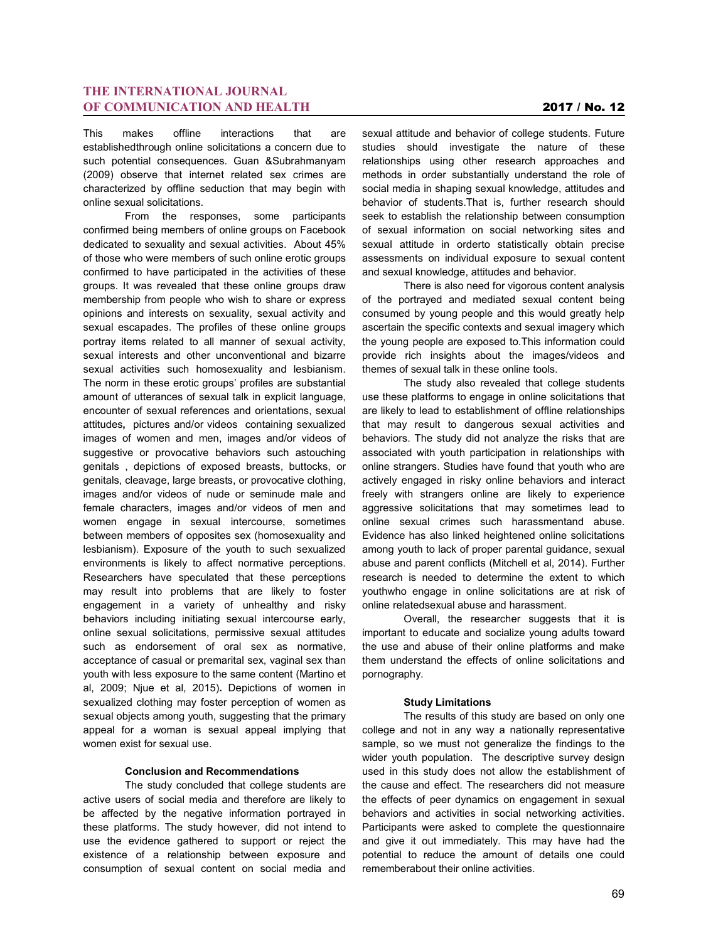This makes offline interactions that are establishedthrough online solicitations a concern due to such potential consequences. Guan &Subrahmanyam (2009) observe that internet related sex crimes are characterized by offline seduction that may begin with online sexual solicitations.

From the responses, some participants confirmed being members of online groups on Facebook dedicated to sexuality and sexual activities. About 45% of those who were members of such online erotic groups confirmed to have participated in the activities of these groups. It was revealed that these online groups draw membership from people who wish to share or express opinions and interests on sexuality, sexual activity and sexual escapades. The profiles of these online groups portray items related to all manner of sexual activity, sexual interests and other unconventional and bizarre sexual activities such homosexuality and lesbianism. The norm in these erotic groups' profiles are substantial amount of utterances of sexual talk in explicit language, encounter of sexual references and orientations, sexual attitudes**,** pictures and/or videos containing sexualized images of women and men, images and/or videos of suggestive or provocative behaviors such astouching genitals , depictions of exposed breasts, buttocks, or genitals, cleavage, large breasts, or provocative clothing, images and/or videos of nude or seminude male and female characters, images and/or videos of men and women engage in sexual intercourse, sometimes between members of opposites sex (homosexuality and lesbianism). Exposure of the youth to such sexualized environments is likely to affect normative perceptions. Researchers have speculated that these perceptions may result into problems that are likely to foster engagement in a variety of unhealthy and risky behaviors including initiating sexual intercourse early, online sexual solicitations, permissive sexual attitudes such as endorsement of oral sex as normative, acceptance of casual or premarital sex, vaginal sex than youth with less exposure to the same content (Martino et al, 2009; Njue et al, 2015)**.** Depictions of women in sexualized clothing may foster perception of women as sexual objects among youth, suggesting that the primary appeal for a woman is sexual appeal implying that women exist for sexual use.

#### **Conclusion and Recommendations**

The study concluded that college students are active users of social media and therefore are likely to be affected by the negative information portrayed in these platforms. The study however, did not intend to use the evidence gathered to support or reject the existence of a relationship between exposure and consumption of sexual content on social media and sexual attitude and behavior of college students. Future studies should investigate the nature of these relationships using other research approaches and methods in order substantially understand the role of social media in shaping sexual knowledge, attitudes and behavior of students.That is, further research should seek to establish the relationship between consumption of sexual information on social networking sites and sexual attitude in orderto statistically obtain precise assessments on individual exposure to sexual content and sexual knowledge, attitudes and behavior.

There is also need for vigorous content analysis of the portrayed and mediated sexual content being consumed by young people and this would greatly help ascertain the specific contexts and sexual imagery which the young people are exposed to.This information could provide rich insights about the images/videos and themes of sexual talk in these online tools.

The study also revealed that college students use these platforms to engage in online solicitations that are likely to lead to establishment of offline relationships that may result to dangerous sexual activities and behaviors. The study did not analyze the risks that are associated with youth participation in relationships with online strangers. Studies have found that youth who are actively engaged in risky online behaviors and interact freely with strangers online are likely to experience aggressive solicitations that may sometimes lead to online sexual crimes such harassmentand abuse. Evidence has also linked heightened online solicitations among youth to lack of proper parental guidance, sexual abuse and parent conflicts (Mitchell et al, 2014). Further research is needed to determine the extent to which youthwho engage in online solicitations are at risk of online relatedsexual abuse and harassment.

Overall, the researcher suggests that it is important to educate and socialize young adults toward the use and abuse of their online platforms and make them understand the effects of online solicitations and pornography.

#### **Study Limitations**

The results of this study are based on only one college and not in any way a nationally representative sample, so we must not generalize the findings to the wider youth population. The descriptive survey design used in this study does not allow the establishment of the cause and effect. The researchers did not measure the effects of peer dynamics on engagement in sexual behaviors and activities in social networking activities. Participants were asked to complete the questionnaire and give it out immediately. This may have had the potential to reduce the amount of details one could rememberabout their online activities.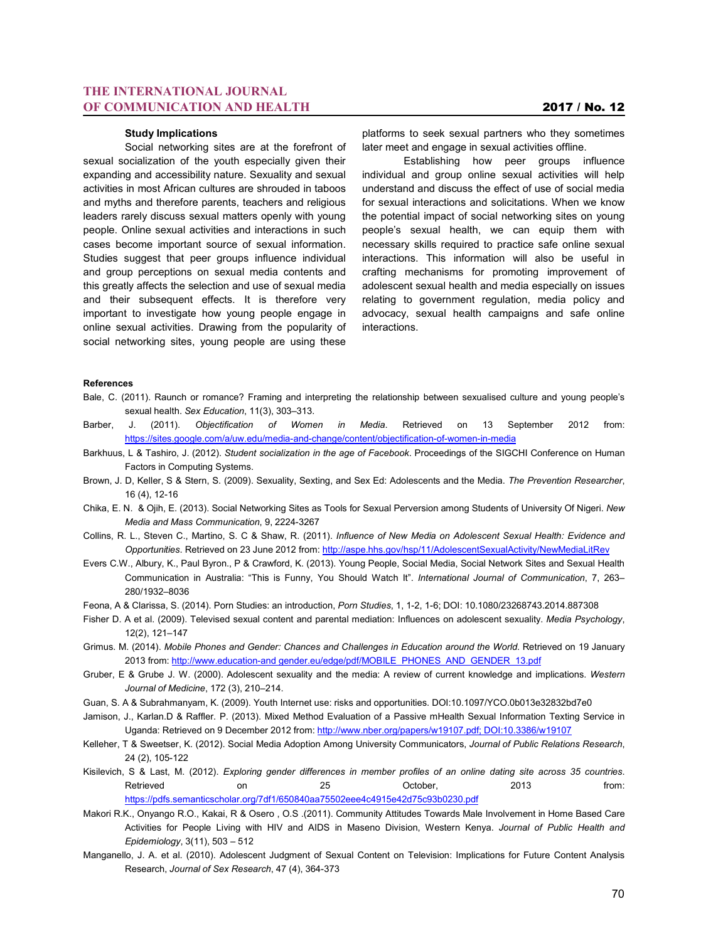#### **Study Implications**

Social networking sites are at the forefront of sexual socialization of the youth especially given their expanding and accessibility nature. Sexuality and sexual activities in most African cultures are shrouded in taboos and myths and therefore parents, teachers and religious leaders rarely discuss sexual matters openly with young people. Online sexual activities and interactions in such cases become important source of sexual information. Studies suggest that peer groups influence individual and group perceptions on sexual media contents and this greatly affects the selection and use of sexual media and their subsequent effects. It is therefore very important to investigate how young people engage in online sexual activities. Drawing from the popularity of social networking sites, young people are using these

platforms to seek sexual partners who they sometimes later meet and engage in sexual activities offline.

Establishing how peer groups influence individual and group online sexual activities will help understand and discuss the effect of use of social media for sexual interactions and solicitations. When we know the potential impact of social networking sites on young people's sexual health, we can equip them with necessary skills required to practice safe online sexual interactions. This information will also be useful in crafting mechanisms for promoting improvement of adolescent sexual health and media especially on issues relating to government regulation, media policy and advocacy, sexual health campaigns and safe online interactions.

#### **References**

- Bale, C. (2011). Raunch or romance? Framing and interpreting the relationship between sexualised culture and young people's sexual health. *Sex Education*, 11(3), 303–313.
- Barber, J. (2011). *Objectification of Women in Media*. Retrieved on 13 September 2012 from: https://sites.google.com/a/uw.edu/media-and-change/content/objectification-of-women-in-media
- Barkhuus, L & Tashiro, J. (2012). *Student socialization in the age of Facebook*. Proceedings of the SIGCHI Conference on Human Factors in Computing Systems.
- Brown, J. D, Keller, S & Stern, S. (2009). Sexuality, Sexting, and Sex Ed: Adolescents and the Media. *The Prevention Researcher*, 16 (4), 12-16
- Chika, E. N. & Ojih, E. (2013). Social Networking Sites as Tools for Sexual Perversion among Students of University Of Nigeri. *New Media and Mass Communication*, 9, 2224-3267
- Collins, R. L., Steven C., Martino, S. C & Shaw, R. (2011). *Influence of New Media on Adolescent Sexual Health: Evidence and Opportunities*. Retrieved on 23 June 2012 from: http://aspe.hhs.gov/hsp/11/AdolescentSexualActivity/NewMediaLitRev
- Evers C.W., Albury, K., Paul Byron., P & Crawford, K. (2013). Young People, Social Media, Social Network Sites and Sexual Health Communication in Australia: "This is Funny, You Should Watch It". *International Journal of Communication*, 7, 263– 280/1932–8036
- Feona, A & Clarissa, S. (2014). Porn Studies: an introduction, *Porn Studies*, 1, 1-2, 1-6; DOI: 10.1080/23268743.2014.887308
- Fisher D. A et al. (2009). Televised sexual content and parental mediation: Influences on adolescent sexuality. *Media Psychology*, 12(2), 121–147
- Grimus. M. (2014). *Mobile Phones and Gender: Chances and Challenges in Education around the World*. Retrieved on 19 January 2013 from: http://www.education-and gender.eu/edge/pdf/MOBILE\_PHONES\_AND\_GENDER\_13.pdf
- Gruber, E & Grube J. W. (2000). Adolescent sexuality and the media: A review of current knowledge and implications. *Western Journal of Medicine*, 172 (3), 210–214.
- Guan, S. A & Subrahmanyam, K. (2009). Youth Internet use: risks and opportunities. DOI:10.1097/YCO.0b013e32832bd7e0
- Jamison, J., Karlan.D & Raffler. P. (2013). Mixed Method Evaluation of a Passive mHealth Sexual Information Texting Service in Uganda: Retrieved on 9 December 2012 from: http://www.nber.org/papers/w19107.pdf; DOI:10.3386/w19107
- Kelleher, T & Sweetser, K. (2012). Social Media Adoption Among University Communicators, *Journal of Public Relations Research*, 24 (2), 105-122
- Kisilevich, S & Last, M. (2012). *Exploring gender differences in member profiles of an online dating site across 35 countries*. Retrieved on 25 October, 2013 from: https://pdfs.semanticscholar.org/7df1/650840aa75502eee4c4915e42d75c93b0230.pdf
- Makori R.K., Onyango R.O., Kakai, R & Osero , O.S .(2011). Community Attitudes Towards Male Involvement in Home Based Care Activities for People Living with HIV and AIDS in Maseno Division, Western Kenya. *Journal of Public Health and Epidemiology*, 3(11), 503 – 512
- Manganello, J. A. et al. (2010). Adolescent Judgment of Sexual Content on Television: Implications for Future Content Analysis Research, *Journal of Sex Research*, 47 (4), 364-373